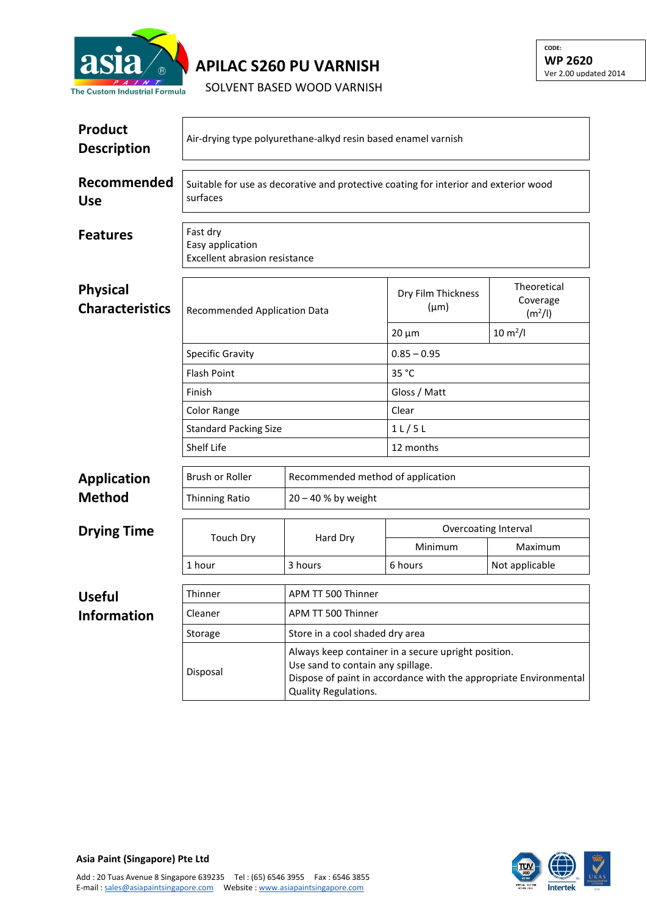

## **APILAC S260 PU VARNISH**

SOLVENT BASED WOOD VARNISH

| <b>Product</b><br><b>Description</b>      | Air-drying type polyurethane-alkyd resin based enamel varnish                                    |                                                                                                                                                               |                                 |                                                |  |  |  |
|-------------------------------------------|--------------------------------------------------------------------------------------------------|---------------------------------------------------------------------------------------------------------------------------------------------------------------|---------------------------------|------------------------------------------------|--|--|--|
| Recommended<br><b>Use</b>                 | Suitable for use as decorative and protective coating for interior and exterior wood<br>surfaces |                                                                                                                                                               |                                 |                                                |  |  |  |
| <b>Features</b>                           | Fast dry<br>Easy application<br>Excellent abrasion resistance                                    |                                                                                                                                                               |                                 |                                                |  |  |  |
| <b>Physical</b><br><b>Characteristics</b> | Recommended Application Data                                                                     |                                                                                                                                                               | Dry Film Thickness<br>$(\mu m)$ | Theoretical<br>Coverage<br>(m <sup>2</sup> /I) |  |  |  |
|                                           |                                                                                                  |                                                                                                                                                               | $20 \mu m$                      | $10 \, \text{m}^2$ /l                          |  |  |  |
|                                           | <b>Specific Gravity</b>                                                                          |                                                                                                                                                               | $0.85 - 0.95$                   |                                                |  |  |  |
|                                           | <b>Flash Point</b>                                                                               |                                                                                                                                                               | 35 °C                           |                                                |  |  |  |
|                                           | Finish                                                                                           |                                                                                                                                                               | Gloss / Matt                    |                                                |  |  |  |
|                                           | Color Range<br><b>Standard Packing Size</b>                                                      |                                                                                                                                                               | Clear                           |                                                |  |  |  |
|                                           |                                                                                                  |                                                                                                                                                               | $1$ L $/$ 5 L                   |                                                |  |  |  |
|                                           | Shelf Life                                                                                       |                                                                                                                                                               | 12 months                       |                                                |  |  |  |
| <b>Application</b>                        | <b>Brush or Roller</b>                                                                           | Recommended method of application                                                                                                                             |                                 |                                                |  |  |  |
| <b>Method</b>                             | Thinning Ratio                                                                                   | $20 - 40$ % by weight                                                                                                                                         |                                 |                                                |  |  |  |
| <b>Drying Time</b>                        | <b>Touch Dry</b>                                                                                 | Hard Dry                                                                                                                                                      | Overcoating Interval            |                                                |  |  |  |
|                                           |                                                                                                  |                                                                                                                                                               | Minimum                         | Maximum                                        |  |  |  |
|                                           | 1 hour                                                                                           | 3 hours                                                                                                                                                       | 6 hours                         | Not applicable                                 |  |  |  |
| <b>Useful</b>                             | Thinner                                                                                          | APM TT 500 Thinner                                                                                                                                            |                                 |                                                |  |  |  |
| Information                               | Cleaner                                                                                          | APM TT 500 Thinner                                                                                                                                            |                                 |                                                |  |  |  |
|                                           | Storage                                                                                          | Store in a cool shaded dry area                                                                                                                               |                                 |                                                |  |  |  |
|                                           | Disposal                                                                                         | Always keep container in a secure upright position.<br>Use sand to contain any spillage.<br>Dispose of paint in accordance with the appropriate Environmental |                                 |                                                |  |  |  |

Quality Regulations.



**CODE: WP 2620** Ver 2.00 updated 2014